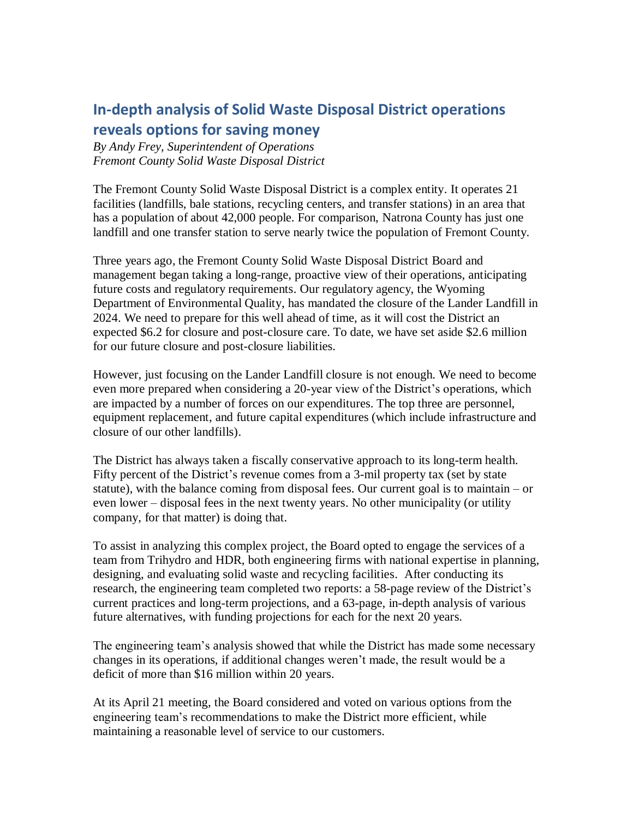## **In-depth analysis of Solid Waste Disposal District operations reveals options for saving money**

*By Andy Frey, Superintendent of Operations Fremont County Solid Waste Disposal District*

The Fremont County Solid Waste Disposal District is a complex entity. It operates 21 facilities (landfills, bale stations, recycling centers, and transfer stations) in an area that has a population of about 42,000 people. For comparison, Natrona County has just one landfill and one transfer station to serve nearly twice the population of Fremont County.

Three years ago, the Fremont County Solid Waste Disposal District Board and management began taking a long-range, proactive view of their operations, anticipating future costs and regulatory requirements. Our regulatory agency, the Wyoming Department of Environmental Quality, has mandated the closure of the Lander Landfill in 2024. We need to prepare for this well ahead of time, as it will cost the District an expected \$6.2 for closure and post-closure care. To date, we have set aside \$2.6 million for our future closure and post-closure liabilities.

However, just focusing on the Lander Landfill closure is not enough. We need to become even more prepared when considering a 20-year view of the District's operations, which are impacted by a number of forces on our expenditures. The top three are personnel, equipment replacement, and future capital expenditures (which include infrastructure and closure of our other landfills).

The District has always taken a fiscally conservative approach to its long-term health. Fifty percent of the District's revenue comes from a 3-mil property tax (set by state statute), with the balance coming from disposal fees. Our current goal is to maintain – or even lower – disposal fees in the next twenty years. No other municipality (or utility company, for that matter) is doing that.

To assist in analyzing this complex project, the Board opted to engage the services of a team from Trihydro and HDR, both engineering firms with national expertise in planning, designing, and evaluating solid waste and recycling facilities. After conducting its research, the engineering team completed two reports: a 58-page review of the District's current practices and long-term projections, and a 63-page, in-depth analysis of various future alternatives, with funding projections for each for the next 20 years.

The engineering team's analysis showed that while the District has made some necessary changes in its operations, if additional changes weren't made, the result would be a deficit of more than \$16 million within 20 years.

At its April 21 meeting, the Board considered and voted on various options from the engineering team's recommendations to make the District more efficient, while maintaining a reasonable level of service to our customers.